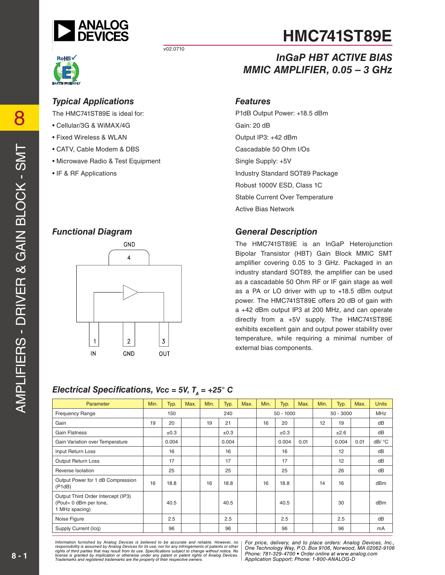

# **RoHS**

 $v02.0710$ 

#### *Typical Applications*

The HMC741ST89E is ideal for:

- Cellular/3G & WiMAX/4G
- Fixed Wireless & WLAN
- CATV, Cable Modem & DBS
- Microwave Radio & Test Equipment
- IF & RF Applications



*Electrical Specifications, Vcc = 5V,*  $T_a$  *= +25° C* 

## **HMC741ST89E**

## *InGaP HBT ACTIVE BIAS MMIC AMPLIFIER, 0.05 – 3 GHz*

#### *Features*

P1dB Output Power: +18.5 dBm Gain: 20 dB Output IP3: +42 dBm Cascadable 50 Ohm I/Os Single Supply: +5V Industry Standard SOT89 Package Robust 1000V ESD, Class 1C Stable Current Over Temperature Active Bias Network

#### *Functional Diagram General Description*

The HMC741ST89E is an InGaP Heterojunction Bipolar Transistor (HBT) Gain Block MMIC SMT amplifier covering 0.05 to 3 GHz. Packaged in an industry standard SOT89, the amplifier can be used as a cascadable 50 Ohm RF or IF gain stage as well as a PA or LO driver with up to +18.5 dBm output power. The HMC741ST89E offers 20 dB of gain with a +42 dBm output IP3 at 200 MHz, and can operate directly from a +5V supply. The HMC741ST89E exhibits excellent gain and output power stability over temperature, while requiring a minimal number of external bias components.

#### Parameter Min. Typ. Max. Min. Typ. Max. Min. Typ. Max. Min. Typ. Max. Units Frequency Range 150 150 150 240 50 - 1000 50 - 3000 MHz Gain | 19 | 20 | | 19 | 21 | | 16 | 20 | | 12 | 19 | | dB Gain Flatness | | ±0.3 | | +0.3 | | +0.3 | | | ±2.6 | | dB Gain Variation over Temperature 0.004 0.004 0.004 0.01 0.004 0.01 dB/ °C Input Return Loss 16 16 16 12 dB Output Return Loss 1 17 17 17 17 17 17 17 17 17 17 12 17 18 18 Reverse Isolation | | 25 | | | 25 | | | 25 | | | 26 | | dB Output Power for 1 dB Compression Public Monton alle Completed on 16 | 16 | 18.8 | 16 | 16 | 18.8 | 16 | 14 | 16 | dBm Output Third Order Intercept (IP3) (Pout= 0 dBm per tone, 1 MHz spacing) 40.5 40.5 40.5 30 dBm Noise Figure | | 2.5 | | | 2.5 | | | | 2.5 | | | dB Supply Current (Icq) 96 96 96 96 mA

#### *For primation intimulated by Analog Devices is believed to be accurate and relations, represented and the place orders: And to place orders: Analog DeVices, Analog DeVices, Analog DeVices, Analog Devices, Analog Devices, Phone: Alt from its use. Specifications subject to change without notice. No***<br>cation or otherwise under any patent or patent rights of Analon Devices Phone: 781-329-4700 • Order online at w** are the property of their respective owners. **Application Support: Phone: 1-**8 *Information furnished by Analog Devices is believed to be accurate and reliable. However, no*  responsibility is assumed by Analog Devices for its use, nor for any infringements of patents or other<br>rights of third parties that may result from its use. Specifications subject to change without notice. No<br>license is gr

*For price, delivery, and to place orders: Analog Devices, Inc., One Technology Way, P.O. Box 9106, Norwood, MA 02062-9106 Phone: 781-329-4700 • Order online at www.analog.com Application Support: Phone: 1-800-ANALOG-D*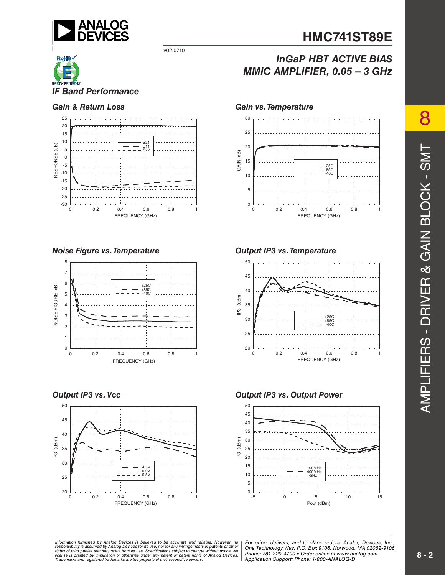

#### v02.0710

# *IF Band Performance*



*Noise Figure vs. Temperature*



#### *Output IP3 vs. Vcc*



## **HMC741ST89E**

## *InGaP HBT ACTIVE BIAS MMIC AMPLIFIER, 0.05 – 3 GHz*

#### *Gain & Return Loss Gain vs. Temperature*



#### *Output IP3 vs. Temperature*



#### *Output IP3 vs. Output Power*



ormation furnished by Analog Devices is believed to be accurate and reliable. However, no | For price, delivery, and to place orders: Analog Devices, Inc.,<br>ponsibility is assumed by Analog Devices for its use, not for any *Phone: Alt from its use. Specifications subject to change without notice. No***<br>cation or otherwise under any patent or patent rights of Analon Devices Phone: 781-329-4700 • Order online at w** are the property of their respective owners. **Application Support: Phone: 1-**8 *Information furnished by Analog Devices is believed to be accurate and reliable. However, no*  responsibility is assumed by Analog Devices for its use, nor for any infringements of patents or other<br>rights of third parties that may result from its use. Specifications subject to change without notice. No<br>license is gr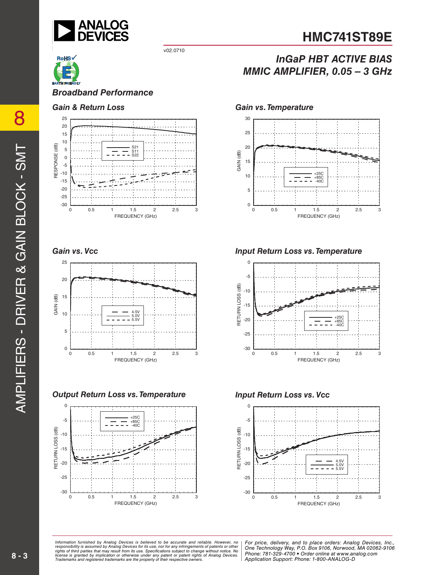

v02.0710

## **HMC741ST89E**

## *InGaP HBT ACTIVE BIAS MMIC AMPLIFIER, 0.05 – 3 GHz*



*Broadband Performance*

#### *Gain & Return Loss*



*Gain vs. Vcc*



*Output Return Loss vs. Temperature*



*Gain vs. Temperature*



*Input Return Loss vs. Temperature*



*Input Return Loss vs. Vcc*



ormation furnished by Analog Devices is believed to be accurate and reliable. However, no | For price, delivery, and to place orders: Analog Devices, Inc.,<br>ponsibility is assumed by Analog Devices for its use, not for any *Phone: Alt from its use. Specifications subject to change without notice. No***<br>cation or otherwise under any patent or patent rights of Analon Devices Phone: 781-329-4700 • Order online at w** are the property of their respective owners. **Application Support: Phone: 1-**8 *Information furnished by Analog Devices is believed to be accurate and reliable. However, no*  responsibility is assumed by Analog Devices for its use, nor for any infringements of patents or other<br>rights of third parties that may result from its use. Specifications subject to change without notice. No<br>license is gr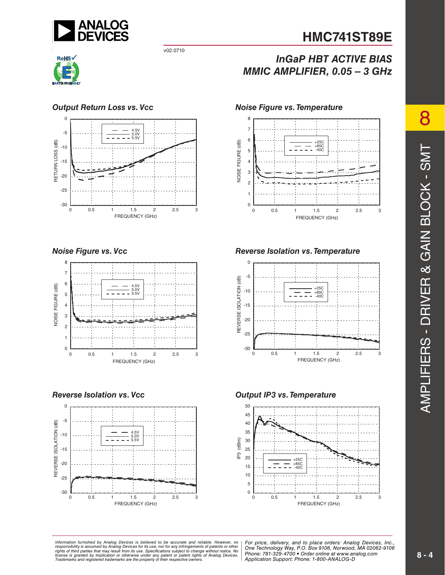

#### v02.0710



#### *Output Return Loss vs. Vcc*



#### *Noise Figure vs. Vcc*



#### *Reverse Isolation vs. Vcc*



## *InGaP HBT ACTIVE BIAS MMIC AMPLIFIER, 0.05 – 3 GHz*

#### *Noise Figure vs. Temperature*



#### *Reverse Isolation vs. Temperature*



#### *Output IP3 vs. Temperature*



ormation furnished by Analog Devices is believed to be accurate and reliable. However, no | For price, delivery, and to place orders: Analog Devices, Inc.,<br>ponsibility is assumed by Analog Devices for its use, not for any *Phone: Alt from its use. Specifications subject to change without notice. No***<br>cation or otherwise under any patent or patent rights of Analon Devices Phone: 781-329-4700 • Order online at w** are the property of their respective owners. **Application Support: Phone: 1-**8 *Information furnished by Analog Devices is believed to be accurate and reliable. However, no*  responsibility is assumed by Analog Devices for its use, nor for any infringements of patents or other<br>rights of third parties that may result from its use. Specifications subject to change without notice. No<br>license is gr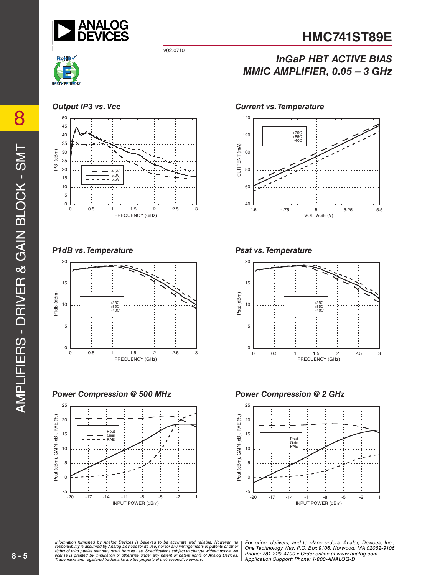

*InGaP HBT ACTIVE BIAS* 

*MMIC AMPLIFIER, 0.05 – 3 GHz*

#### v02.0710



#### *Output IP3 vs. Vcc*



#### *P1dB vs. Temperature*



#### *Power Compression @ 500 MHz*



#### *Current vs. Temperature*



#### *Psat vs. Temperature*



#### *Power Compression @ 2 GHz*



ormation furnished by Analog Devices is believed to be accurate and reliable. However, no | For price, delivery, and to place orders: Analog Devices, Inc.,<br>ponsibility is assumed by Analog Devices for its use, not for any *Phone: Alt from its use. Specifications subject to change without notice. No***<br>cation or otherwise under any patent or patent rights of Analon Devices Phone: 781-329-4700 • Order online at w** are the property of their respective owners. **Application Support: Phone: 1-**8 *Information furnished by Analog Devices is believed to be accurate and reliable. However, no*  responsibility is assumed by Analog Devices for its use, nor for any infringements of patents or other<br>rights of third parties that may result from its use. Specifications subject to change without notice. No<br>license is gr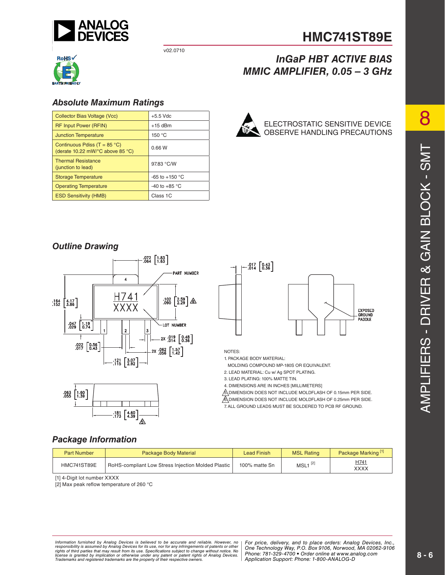

v02.0710



#### *Absolute Maximum Ratings*

| <b>Collector Bias Voltage (Vcc)</b>                                                            | $+5.5$ Vdc              |  |
|------------------------------------------------------------------------------------------------|-------------------------|--|
| <b>RF Input Power (RFIN)</b>                                                                   | $+15$ dBm               |  |
| <b>Junction Temperature</b>                                                                    | 150 °C                  |  |
| Continuous Pdiss (T = $85^{\circ}$ C)<br>(derate 10.22 mW/ $^{\circ}$ C above 85 $^{\circ}$ C) | 0.66W                   |  |
| <b>Thermal Resistance</b><br>(junction to lead)                                                | 97.83 °C/W              |  |
| <b>Storage Temperature</b>                                                                     | $-65$ to $+150$ °C      |  |
| <b>Operating Temperature</b>                                                                   | -40 to +85 $^{\circ}$ C |  |
| <b>ESD Sensitivity (HMB)</b>                                                                   | Class 1C                |  |



#### ELECTROSTATIC SENSITIVE DEVICE OBSERVE HANDLING PRECAUTIONS

*MMIC AMPLIFIER, 0.05 – 3 GHz*

**HMC741ST89E**

*InGaP HBT ACTIVE BIAS* 

### *Outline Drawing*







NOTES:

1. PACKAGE BODY MATERIAL:

MOLDING COMPOUND MP-180S OR EQUIVALENT.

2. LEAD MATERIAL: Cu w/ Ag SPOT PLATING.

3. LEAD PLATING: 100% MATTE TIN.

4. DIMENSIONS ARE IN INCHES [MILLIMETERS]

5. DIMENSION DOES NOT INCLUDE MOLDFLASH OF 0.15mm PER SIDE. **6. DIMENSION DOES NOT INCLUDE MOLDFLASH OF 0.25mm PER SIDE.** 

--<br>7. ALL GROUND LEADS MUST BE SOLDERED TO PCB RF GROUND.

#### *Package Information*

| <b>Part Number</b>                                                | <b>Package Body Material</b> | Lead Finish   | <b>MSL Rating</b> | Package Marking <sup>[1]</sup> |
|-------------------------------------------------------------------|------------------------------|---------------|-------------------|--------------------------------|
| HMC741ST89E<br>RoHS-compliant Low Stress Injection Molded Plastic |                              | 100% matte Sn | $MSL1^{[2]}$      | H741<br>XXXX                   |

[1] 4-Digit lot number XXXX

[2] Max peak reflow temperature of 260 °C

*For primation intimulated by Analog Devices is believed to be accurate and relations, represented and the place orders: And to place orders: Analog DeVices, Analog DeVices, Analog DeVices, Analog Devices, Analog Devices, Phone: Alt from its use. Specifications subject to change without notice. No***<br>cation or otherwise under any patent or patent rights of Analon Devices Phone: 781-329-4700 • Order online at w** are the property of their respective owners. **Application Support: Phone: 1-**8 *Information furnished by Analog Devices is believed to be accurate and reliable. However, no*  responsibility is assumed by Analog Devices for its use, nor for any infringements of patents or other<br>rights of third parties that may result from its use. Specifications subject to change without notice. No<br>license is gr

*For price, delivery, and to place orders: Analog Devices, Inc., One Technology Way, P.O. Box 9106, Norwood, MA 02062-9106 Phone: 781-329-4700 • Order online at www.analog.com Application Support: Phone: 1-800-ANALOG-D*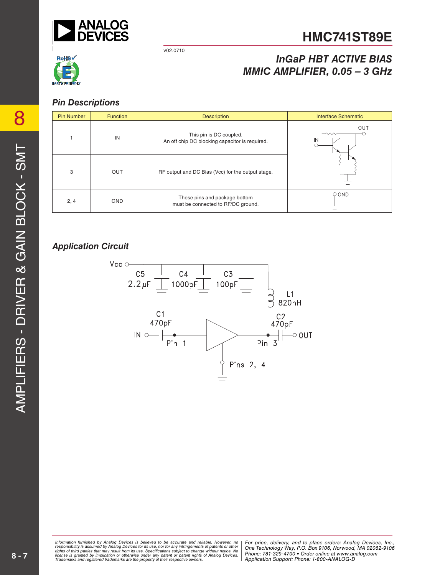

v02.0710

## *InGaP HBT ACTIVE BIAS MMIC AMPLIFIER, 0.05 – 3 GHz*



#### *Pin Descriptions*

| <b>Pin Number</b> | <b>Function</b> | <b>Description</b>                                                        | <b>Interface Schematic</b> |  |
|-------------------|-----------------|---------------------------------------------------------------------------|----------------------------|--|
|                   | IN              | This pin is DC coupled.<br>An off chip DC blocking capacitor is required. | OUT<br>へへへ<br>IN           |  |
| 3                 | OUT             | RF output and DC Bias (Vcc) for the output stage.                         |                            |  |
| 2, 4              | <b>GND</b>      | These pins and package bottom<br>must be connected to RF/DC ground.       | $\circ$ GND                |  |

### *Application Circuit*



ormation furnished by Analog Devices is believed to be accurate and reliable. However, no | For price, delivery, and to place orders: Analog Devices, Inc.,<br>ponsibility is assumed by Analog Devices for its use, nor for any *Phone: Alt from its use. Specifications subject to change without notice. No***<br>cation or otherwise under any patent or patent rights of Analon Devices Phone: 781-329-4700 • Order online at w** are the property of their respective owners. **Application Support: Phone: 1-**8 *Information furnished by Analog Devices is believed to be accurate and reliable. However, no*  responsibility is assumed by Analog Devices for its use, nor for any infringements of patents or other<br>rights of third parties that may result from its use. Specifications subject to change without notice. No<br>license is gr